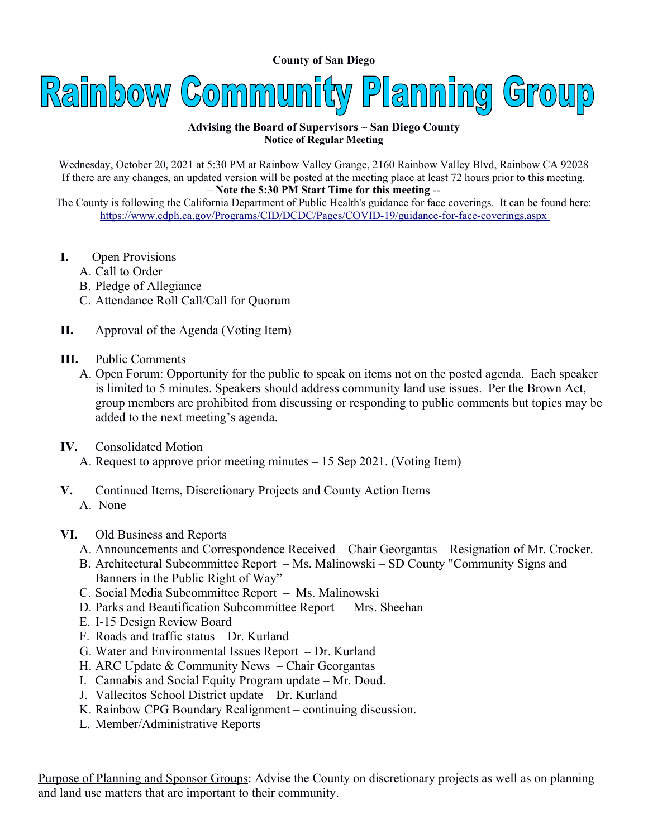**County of San Diego** 



## **Advising the Board of Supervisors ~ San Diego County Notice of Regular Meeting**

Wednesday, October 20, 2021 at 5:30 PM at Rainbow Valley Grange, 2160 Rainbow Valley Blvd, Rainbow CA 92028 If there are any changes, an updated version will be posted at the meeting place at least 72 hours prior to this meeting. – **Note the 5:30 PM Start Time for this meeting** --

The County is following the California Department of Public Health's guidance for face coverings. It can be found here: <https://www.cdph.ca.gov/Programs/CID/DCDC/Pages/COVID-19/guidance-for-face-coverings.aspx>

- **I.** Open Provisions
	- A. Call to Order
	- B. Pledge of Allegiance
	- C. Attendance Roll Call/Call for Quorum
- **II.** Approval of the Agenda (Voting Item)
- **III.** Public Comments
	- A. Open Forum: Opportunity for the public to speak on items not on the posted agenda. Each speaker is limited to 5 minutes. Speakers should address community land use issues. Per the Brown Act, group members are prohibited from discussing or responding to public comments but topics may be added to the next meeting's agenda.
- **IV.** Consolidated Motion
	- A. Request to approve prior meeting minutes 15 Sep 2021. (Voting Item)
- **V.** Continued Items, Discretionary Projects and County Action Items A. None
- **VI.** Old Business and Reports
	- A. Announcements and Correspondence Received Chair Georgantas Resignation of Mr. Crocker.
	- B. Architectural Subcommittee Report Ms. Malinowski SD County "Community Signs and Banners in the Public Right of Way"
	- C. Social Media Subcommittee Report Ms. Malinowski
	- D. Parks and Beautification Subcommittee Report Mrs. Sheehan
	- E. I-15 Design Review Board
	- F. Roads and traffic status Dr. Kurland
	- G. Water and Environmental Issues Report Dr. Kurland
	- H. ARC Update & Community News Chair Georgantas
	- I. Cannabis and Social Equity Program update Mr. Doud.
	- J. Vallecitos School District update Dr. Kurland
	- K. Rainbow CPG Boundary Realignment continuing discussion.
	- L. Member/Administrative Reports

Purpose of Planning and Sponsor Groups: Advise the County on discretionary projects as well as on planning and land use matters that are important to their community.